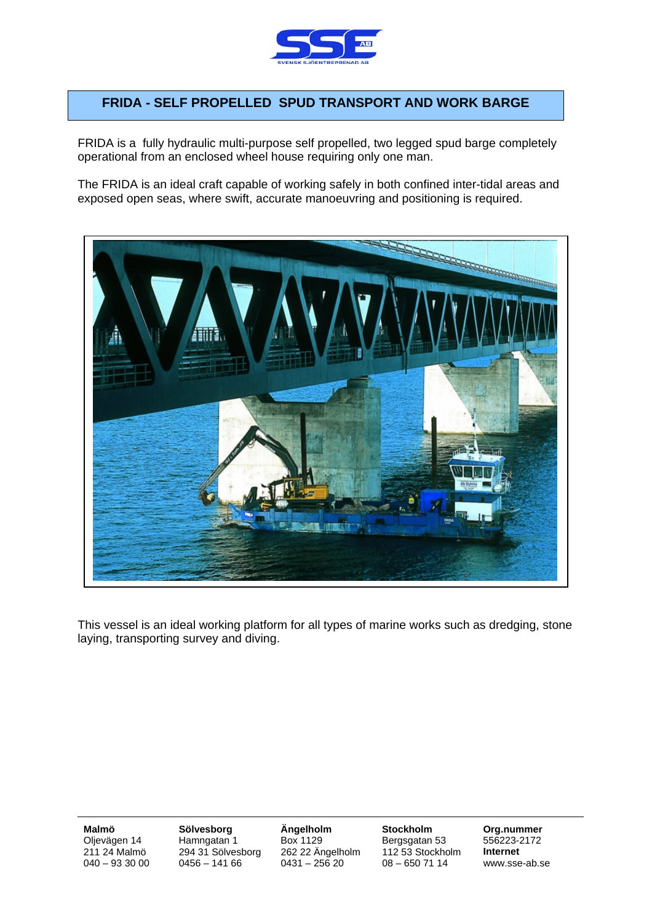

## **FRIDA - SELF PROPELLED SPUD TRANSPORT AND WORK BARGE**

FRIDA is a fully hydraulic multi-purpose self propelled, two legged spud barge completely operational from an enclosed wheel house requiring only one man.

The FRIDA is an ideal craft capable of working safely in both confined inter-tidal areas and exposed open seas, where swift, accurate manoeuvring and positioning is required.



This vessel is an ideal working platform for all types of marine works such as dredging, stone laying, transporting survey and diving.

**Malmö Sölvesborg Ängelholm Stockholm Org.nummer**<br>Olievägen 14 Hamngatan 1 Box 1129 Bergsgatan 53 556223-2172 Oljevägen 14 Hamngatan 1 Box 1129 Bergsgatan 53<br>211 24 Malmö 294 31 Sölvesborg 262 22 Ängelholm 112 53 Stockho 211 24 Malmö 294 31 Sölvesborg 262 22 Ängelholm 112 53 Stockholm **Internet** 

08 – 650 71 14 www.sse-ab.se